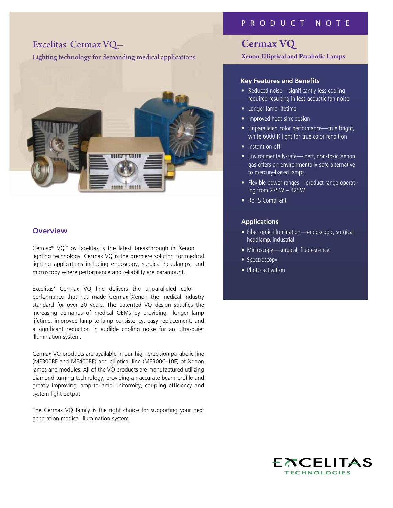# Excelitas' Cermax VQ—

Lighting technology for demanding medical applications



## **Overview**

Cermax® VQ™ by Excelitas is the latest breakthrough in Xenon lighting technology. Cermax VQ is the premiere solution for medical lighting applications including endoscopy, surgical headlamps, and microscopy where performance and reliability are paramount.

Excelitas' Cermax VQ line delivers the unparalleled color performance that has made Cermax Xenon the medical industry standard for over 20 years. The patented VQ design satisfies the increasing demands of medical OEMs by providing longer lamp lifetime, improved lamp-to-lamp consistency, easy replacement, and a significant reduction in audible cooling noise for an ultra-quiet illumination system.

Cermax VQ products are available in our high-precision parabolic line (ME300BF and ME400BF) and elliptical line (ME300C-10F) of Xenon lamps and modules. All of the VQ products are manufactured utilizing diamond turning technology, providing an accurate beam profile and greatly improving lamp-to-lamp uniformity, coupling efficiency and system light output.

The Cermax VQ family is the right choice for supporting your next generation medical illumination system.

## P R O D U C T N O T E

## Cermax VQ

Xenon Elliptical and Parabolic Lamps

## **Key Features and Benefits**

- Reduced noise—significantly less cooling required resulting in less acoustic fan noise
- • Longer lamp lifetime
- Improved heat sink design
- Unparalleled color performance—true bright, white 6000 K light for true color rendition
- Instant on-off
- Environmentally-safe—inert, non-toxic Xenon gas offers an environmentally-safe alternative to mercury-based lamps
- Flexible power ranges—product range operating from 275W – 425W
- RoHS Compliant

### **Applications**

- Fiber optic illumination—endoscopic, surgical headlamp, industrial
- Microscopy-surgical, fluorescence
- Spectroscopy
- Photo activation

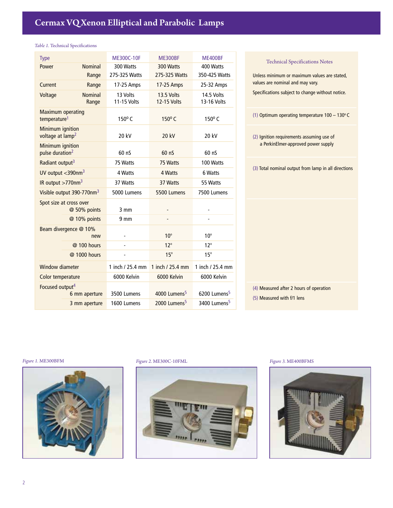### *Table 1.* Technical Specifications

| <b>Type</b>                                          | <b>ME300C-10F</b>       | <b>ME300BF</b>                   | <b>ME400BF</b>            |
|------------------------------------------------------|-------------------------|----------------------------------|---------------------------|
| <b>Nominal</b><br>Power                              | 300 Watts               | 300 Watts                        | 400 Watts                 |
| Range                                                | 275-325 Watts           | 275-325 Watts                    | 350-425 Watts             |
| Current<br>Range                                     | 17-25 Amps              | 17-25 Amps                       | 25-32 Amps                |
| <b>Nominal</b><br>Voltage<br>Range                   | 13 Volts<br>11-15 Volts | 13.5 Volts<br><b>12-15 Volts</b> | 14.5 Volts<br>13-16 Volts |
| <b>Maximum operating</b><br>temperature <sup>1</sup> | $150^{\circ}$ C         | 150°C                            | 150°C                     |
| Minimum ignition<br>voltage at lamp <sup>2</sup>     | 20 kV                   | 20 kV                            | 20 kV                     |
| Minimum ignition<br>pulse duration <sup>2</sup>      | 60 <sub>0</sub>         | 60 <sub>0</sub>                  | 60 <sub>0</sub>           |
| Radiant output <sup>3</sup>                          | 75 Watts                | 75 Watts                         | 100 Watts                 |
| UV output $<$ 390nm <sup>3</sup>                     | 4 Watts                 | 4 Watts                          | 6 Watts                   |
| IR output >770nm <sup>3</sup>                        | 37 Watts                | 37 Watts                         | 55 Watts                  |
| Visible output 390-770nm <sup>3</sup>                | 5000 Lumens             | 5500 Lumens                      | 7500 Lumens               |
| Spot size at cross over<br>@ 50% points              | $3 \text{ mm}$          |                                  |                           |
| @ 10% points                                         | $9 \text{ mm}$          | $\overline{a}$                   |                           |
| Beam divergence @ 10%<br>new                         | ٠                       | $10^{\circ}$                     | $10^{\circ}$              |
| @ 100 hours                                          | L,                      | $12^{\circ}$                     | $12^{\circ}$              |
| @ 1000 hours                                         |                         | $15^\circ$                       | $15^\circ$                |
| <b>Window diameter</b>                               | 1 inch / 25.4 mm        | 1 inch / 25.4 mm                 | 1 inch / 25.4 mm          |
| Color temperature                                    | 6000 Kelvin             | 6000 Kelvin                      | 6000 Kelvin               |
| Focused output <sup>4</sup>                          |                         |                                  |                           |
| 6 mm aperture                                        | 3500 Lumens             | 4000 Lumens <sup>5</sup>         | 6200 Lumens <sup>5</sup>  |
| 3 mm aperture                                        | 1600 Lumens             | 2000 Lumens <sup>5</sup>         | 3400 Lumens <sup>5</sup>  |

Unless minimum or maximum values are stated, values are nominal and may vary. Specifications subject to change without notice. (1) Optimum operating temperature  $100 - 130^{\circ}$  C (2) Ignition requirements assuming use of a PerkinElmer-approved power supply (3) Total nominal output from lamp in all directions (4) Measured after 2 hours of operation (5) Measured with f/1 lens Technical Specifications Notes



*Figure 1.* ME300BFM *Figure 2.* ME300C-10FML *Figure 3.* ME400BFMS



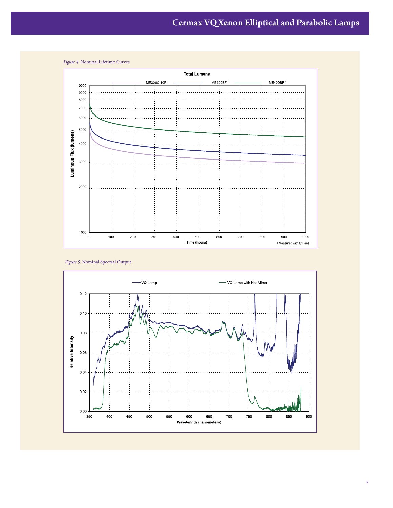

*Figure 4.* Nominal Lifetime Curves

*Figure 5.* Nominal Spectral Output